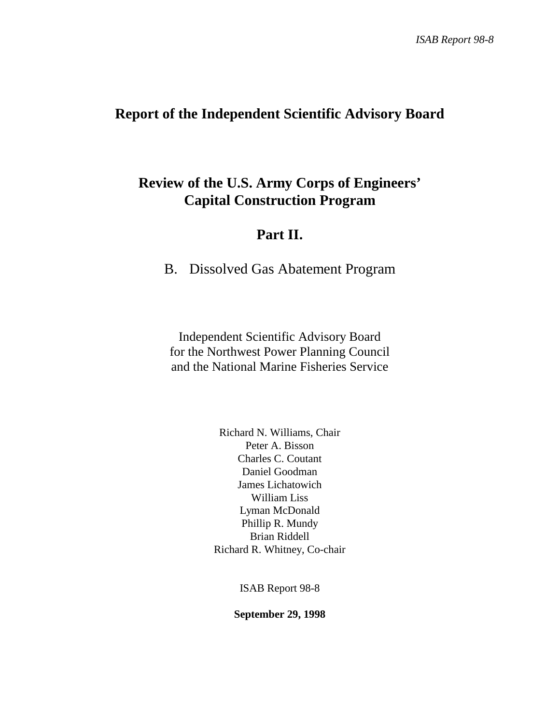# **Report of the Independent Scientific Advisory Board**

# **Review of the U.S. Army Corps of Engineers' Capital Construction Program**

# **Part II.**

B. Dissolved Gas Abatement Program

Independent Scientific Advisory Board for the Northwest Power Planning Council and the National Marine Fisheries Service

> Richard N. Williams, Chair Peter A. Bisson Charles C. Coutant Daniel Goodman James Lichatowich William Liss Lyman McDonald Phillip R. Mundy Brian Riddell Richard R. Whitney, Co-chair

> > ISAB Report 98-8

**September 29, 1998**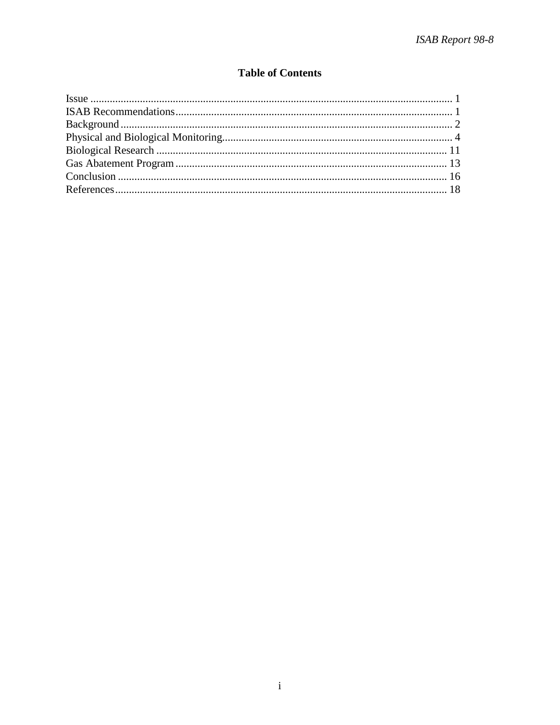## **Table of Contents**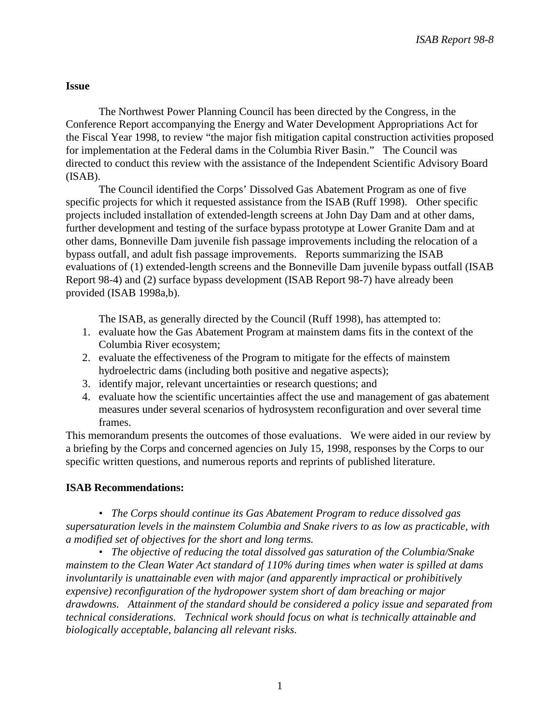### **Issue**

The Northwest Power Planning Council has been directed by the Congress, in the Conference Report accompanying the Energy and Water Development Appropriations Act for the Fiscal Year 1998, to review "the major fish mitigation capital construction activities proposed for implementation at the Federal dams in the Columbia River Basin." The Council was directed to conduct this review with the assistance of the Independent Scientific Advisory Board (ISAB).

The Council identified the Corps' Dissolved Gas Abatement Program as one of five specific projects for which it requested assistance from the ISAB (Ruff 1998). Other specific projects included installation of extended-length screens at John Day Dam and at other dams, further development and testing of the surface bypass prototype at Lower Granite Dam and at other dams, Bonneville Dam juvenile fish passage improvements including the relocation of a bypass outfall, and adult fish passage improvements. Reports summarizing the ISAB evaluations of (1) extended-length screens and the Bonneville Dam juvenile bypass outfall (ISAB Report 98-4) and (2) surface bypass development (ISAB Report 98-7) have already been provided (ISAB 1998a,b).

The ISAB, as generally directed by the Council (Ruff 1998), has attempted to:

- 1. evaluate how the Gas Abatement Program at mainstem dams fits in the context of the Columbia River ecosystem;
- 2. evaluate the effectiveness of the Program to mitigate for the effects of mainstem hydroelectric dams (including both positive and negative aspects);
- 3. identify major, relevant uncertainties or research questions; and
- 4. evaluate how the scientific uncertainties affect the use and management of gas abatement measures under several scenarios of hydrosystem reconfiguration and over several time frames.

This memorandum presents the outcomes of those evaluations. We were aided in our review by a briefing by the Corps and concerned agencies on July 15, 1998, responses by the Corps to our specific written questions, and numerous reports and reprints of published literature.

### **ISAB Recommendations:**

*• The Corps should continue its Gas Abatement Program to reduce dissolved gas supersaturation levels in the mainstem Columbia and Snake rivers to as low as practicable, with a modified set of objectives for the short and long terms.* 

*• The objective of reducing the total dissolved gas saturation of the Columbia/Snake mainstem to the Clean Water Act standard of 110% during times when water is spilled at dams involuntarily is unattainable even with major (and apparently impractical or prohibitively expensive) reconfiguration of the hydropower system short of dam breaching or major drawdowns. Attainment of the standard should be considered a policy issue and separated from technical considerations. Technical work should focus on what is technically attainable and biologically acceptable, balancing all relevant risks.*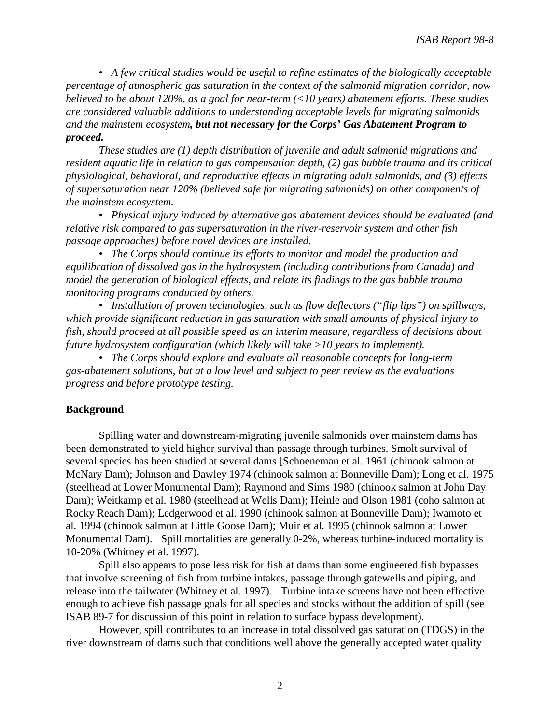*• A few critical studies would be useful to refine estimates of the biologically acceptable percentage of atmospheric gas saturation in the context of the salmonid migration corridor, now believed to be about 120%, as a goal for near-term (<10 years) abatement efforts. These studies are considered valuable additions to understanding acceptable levels for migrating salmonids and the mainstem ecosystem, but not necessary for the Corps' Gas Abatement Program to proceed.* 

*These studies are (1) depth distribution of juvenile and adult salmonid migrations and resident aquatic life in relation to gas compensation depth, (2) gas bubble trauma and its critical physiological, behavioral, and reproductive effects in migrating adult salmonids, and (3) effects of supersaturation near 120% (believed safe for migrating salmonids) on other components of the mainstem ecosystem.* 

*• Physical injury induced by alternative gas abatement devices should be evaluated (and relative risk compared to gas supersaturation in the river-reservoir system and other fish passage approaches) before novel devices are installed.*

*• The Corps should continue its efforts to monitor and model the production and equilibration of dissolved gas in the hydrosystem (including contributions from Canada) and model the generation of biological effects, and relate its findings to the gas bubble trauma monitoring programs conducted by others.* 

*• Installation of proven technologies, such as flow deflectors ("flip lips") on spillways, which provide significant reduction in gas saturation with small amounts of physical injury to fish, should proceed at all possible speed as an interim measure, regardless of decisions about future hydrosystem configuration (which likely will take >10 years to implement).* 

*• The Corps should explore and evaluate all reasonable concepts for long-term gas-abatement solutions, but at a low level and subject to peer review as the evaluations progress and before prototype testing.* 

### **Background**

Spilling water and downstream-migrating juvenile salmonids over mainstem dams has been demonstrated to yield higher survival than passage through turbines. Smolt survival of several species has been studied at several dams [Schoeneman et al. 1961 (chinook salmon at McNary Dam); Johnson and Dawley 1974 (chinook salmon at Bonneville Dam); Long et al. 1975 (steelhead at Lower Monumental Dam); Raymond and Sims 1980 (chinook salmon at John Day Dam); Weitkamp et al. 1980 (steelhead at Wells Dam); Heinle and Olson 1981 (coho salmon at Rocky Reach Dam); Ledgerwood et al. 1990 (chinook salmon at Bonneville Dam); Iwamoto et al. 1994 (chinook salmon at Little Goose Dam); Muir et al. 1995 (chinook salmon at Lower Monumental Dam). Spill mortalities are generally 0-2%, whereas turbine-induced mortality is 10-20% (Whitney et al. 1997).

Spill also appears to pose less risk for fish at dams than some engineered fish bypasses that involve screening of fish from turbine intakes, passage through gatewells and piping, and release into the tailwater (Whitney et al. 1997). Turbine intake screens have not been effective enough to achieve fish passage goals for all species and stocks without the addition of spill (see ISAB 89-7 for discussion of this point in relation to surface bypass development).

However, spill contributes to an increase in total dissolved gas saturation (TDGS) in the river downstream of dams such that conditions well above the generally accepted water quality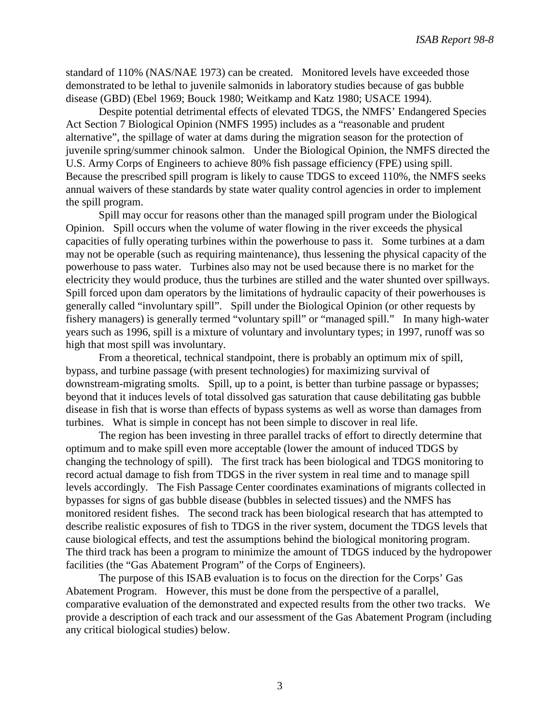standard of 110% (NAS/NAE 1973) can be created. Monitored levels have exceeded those demonstrated to be lethal to juvenile salmonids in laboratory studies because of gas bubble disease (GBD) (Ebel 1969; Bouck 1980; Weitkamp and Katz 1980; USACE 1994).

Despite potential detrimental effects of elevated TDGS, the NMFS' Endangered Species Act Section 7 Biological Opinion (NMFS 1995) includes as a "reasonable and prudent alternative", the spillage of water at dams during the migration season for the protection of juvenile spring/summer chinook salmon. Under the Biological Opinion, the NMFS directed the U.S. Army Corps of Engineers to achieve 80% fish passage efficiency (FPE) using spill. Because the prescribed spill program is likely to cause TDGS to exceed 110%, the NMFS seeks annual waivers of these standards by state water quality control agencies in order to implement the spill program.

Spill may occur for reasons other than the managed spill program under the Biological Opinion. Spill occurs when the volume of water flowing in the river exceeds the physical capacities of fully operating turbines within the powerhouse to pass it. Some turbines at a dam may not be operable (such as requiring maintenance), thus lessening the physical capacity of the powerhouse to pass water. Turbines also may not be used because there is no market for the electricity they would produce, thus the turbines are stilled and the water shunted over spillways. Spill forced upon dam operators by the limitations of hydraulic capacity of their powerhouses is generally called "involuntary spill". Spill under the Biological Opinion (or other requests by fishery managers) is generally termed "voluntary spill" or "managed spill." In many high-water years such as 1996, spill is a mixture of voluntary and involuntary types; in 1997, runoff was so high that most spill was involuntary.

From a theoretical, technical standpoint, there is probably an optimum mix of spill, bypass, and turbine passage (with present technologies) for maximizing survival of downstream-migrating smolts. Spill, up to a point, is better than turbine passage or bypasses; beyond that it induces levels of total dissolved gas saturation that cause debilitating gas bubble disease in fish that is worse than effects of bypass systems as well as worse than damages from turbines. What is simple in concept has not been simple to discover in real life.

The region has been investing in three parallel tracks of effort to directly determine that optimum and to make spill even more acceptable (lower the amount of induced TDGS by changing the technology of spill). The first track has been biological and TDGS monitoring to record actual damage to fish from TDGS in the river system in real time and to manage spill levels accordingly. The Fish Passage Center coordinates examinations of migrants collected in bypasses for signs of gas bubble disease (bubbles in selected tissues) and the NMFS has monitored resident fishes. The second track has been biological research that has attempted to describe realistic exposures of fish to TDGS in the river system, document the TDGS levels that cause biological effects, and test the assumptions behind the biological monitoring program. The third track has been a program to minimize the amount of TDGS induced by the hydropower facilities (the "Gas Abatement Program" of the Corps of Engineers).

The purpose of this ISAB evaluation is to focus on the direction for the Corps' Gas Abatement Program. However, this must be done from the perspective of a parallel, comparative evaluation of the demonstrated and expected results from the other two tracks. We provide a description of each track and our assessment of the Gas Abatement Program (including any critical biological studies) below.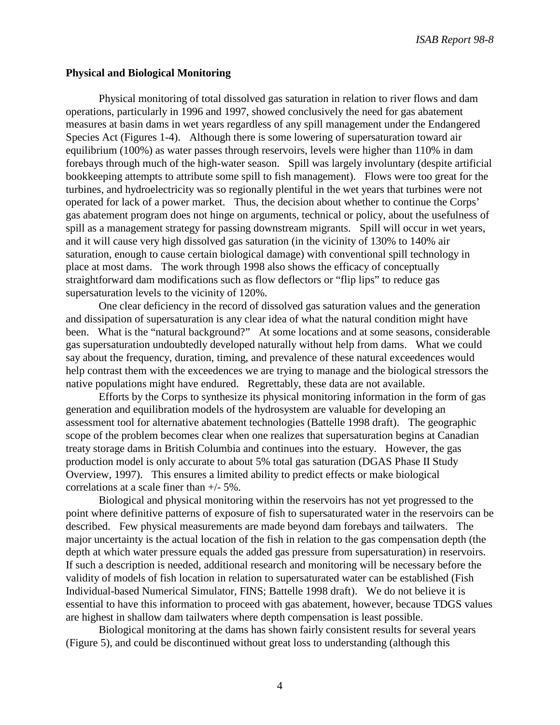*ISAB Report 98-8*

#### **Physical and Biological Monitoring**

Physical monitoring of total dissolved gas saturation in relation to river flows and dam operations, particularly in 1996 and 1997, showed conclusively the need for gas abatement measures at basin dams in wet years regardless of any spill management under the Endangered Species Act (Figures 1-4). Although there is some lowering of supersaturation toward air equilibrium (100%) as water passes through reservoirs, levels were higher than 110% in dam forebays through much of the high-water season. Spill was largely involuntary (despite artificial bookkeeping attempts to attribute some spill to fish management). Flows were too great for the turbines, and hydroelectricity was so regionally plentiful in the wet years that turbines were not operated for lack of a power market. Thus, the decision about whether to continue the Corps' gas abatement program does not hinge on arguments, technical or policy, about the usefulness of spill as a management strategy for passing downstream migrants. Spill will occur in wet years, and it will cause very high dissolved gas saturation (in the vicinity of 130% to 140% air saturation, enough to cause certain biological damage) with conventional spill technology in place at most dams. The work through 1998 also shows the efficacy of conceptually straightforward dam modifications such as flow deflectors or "flip lips" to reduce gas supersaturation levels to the vicinity of 120%.

One clear deficiency in the record of dissolved gas saturation values and the generation and dissipation of supersaturation is any clear idea of what the natural condition might have been. What is the "natural background?" At some locations and at some seasons, considerable gas supersaturation undoubtedly developed naturally without help from dams. What we could say about the frequency, duration, timing, and prevalence of these natural exceedences would help contrast them with the exceedences we are trying to manage and the biological stressors the native populations might have endured. Regrettably, these data are not available.

Efforts by the Corps to synthesize its physical monitoring information in the form of gas generation and equilibration models of the hydrosystem are valuable for developing an assessment tool for alternative abatement technologies (Battelle 1998 draft). The geographic scope of the problem becomes clear when one realizes that supersaturation begins at Canadian treaty storage dams in British Columbia and continues into the estuary. However, the gas production model is only accurate to about 5% total gas saturation (DGAS Phase II Study Overview, 1997). This ensures a limited ability to predict effects or make biological correlations at a scale finer than +/- 5%.

Biological and physical monitoring within the reservoirs has not yet progressed to the point where definitive patterns of exposure of fish to supersaturated water in the reservoirs can be described. Few physical measurements are made beyond dam forebays and tailwaters. The major uncertainty is the actual location of the fish in relation to the gas compensation depth (the depth at which water pressure equals the added gas pressure from supersaturation) in reservoirs. If such a description is needed, additional research and monitoring will be necessary before the validity of models of fish location in relation to supersaturated water can be established (Fish Individual-based Numerical Simulator, FINS; Battelle 1998 draft). We do not believe it is essential to have this information to proceed with gas abatement, however, because TDGS values are highest in shallow dam tailwaters where depth compensation is least possible.

Biological monitoring at the dams has shown fairly consistent results for several years (Figure 5), and could be discontinued without great loss to understanding (although this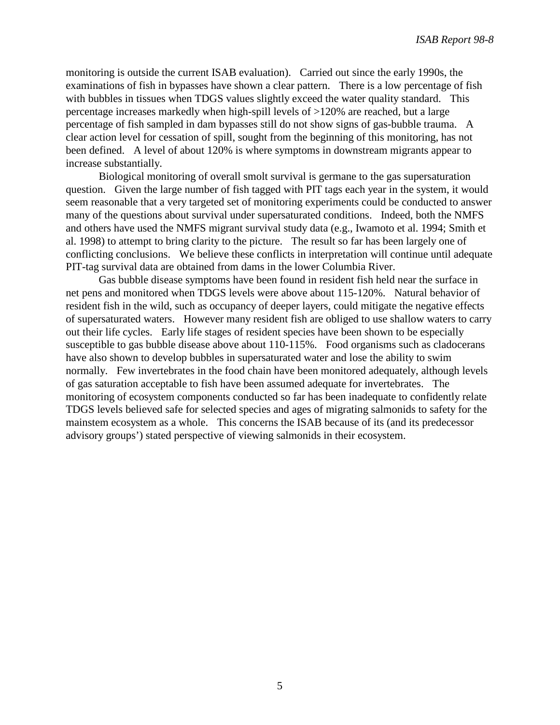monitoring is outside the current ISAB evaluation). Carried out since the early 1990s, the examinations of fish in bypasses have shown a clear pattern. There is a low percentage of fish with bubbles in tissues when TDGS values slightly exceed the water quality standard. This percentage increases markedly when high-spill levels of >120% are reached, but a large percentage of fish sampled in dam bypasses still do not show signs of gas-bubble trauma. A clear action level for cessation of spill, sought from the beginning of this monitoring, has not been defined. A level of about 120% is where symptoms in downstream migrants appear to increase substantially.

Biological monitoring of overall smolt survival is germane to the gas supersaturation question. Given the large number of fish tagged with PIT tags each year in the system, it would seem reasonable that a very targeted set of monitoring experiments could be conducted to answer many of the questions about survival under supersaturated conditions. Indeed, both the NMFS and others have used the NMFS migrant survival study data (e.g., Iwamoto et al. 1994; Smith et al. 1998) to attempt to bring clarity to the picture. The result so far has been largely one of conflicting conclusions. We believe these conflicts in interpretation will continue until adequate PIT-tag survival data are obtained from dams in the lower Columbia River.

Gas bubble disease symptoms have been found in resident fish held near the surface in net pens and monitored when TDGS levels were above about 115-120%. Natural behavior of resident fish in the wild, such as occupancy of deeper layers, could mitigate the negative effects of supersaturated waters. However many resident fish are obliged to use shallow waters to carry out their life cycles. Early life stages of resident species have been shown to be especially susceptible to gas bubble disease above about 110-115%. Food organisms such as cladocerans have also shown to develop bubbles in supersaturated water and lose the ability to swim normally. Few invertebrates in the food chain have been monitored adequately, although levels of gas saturation acceptable to fish have been assumed adequate for invertebrates. The monitoring of ecosystem components conducted so far has been inadequate to confidently relate TDGS levels believed safe for selected species and ages of migrating salmonids to safety for the mainstem ecosystem as a whole. This concerns the ISAB because of its (and its predecessor advisory groups') stated perspective of viewing salmonids in their ecosystem.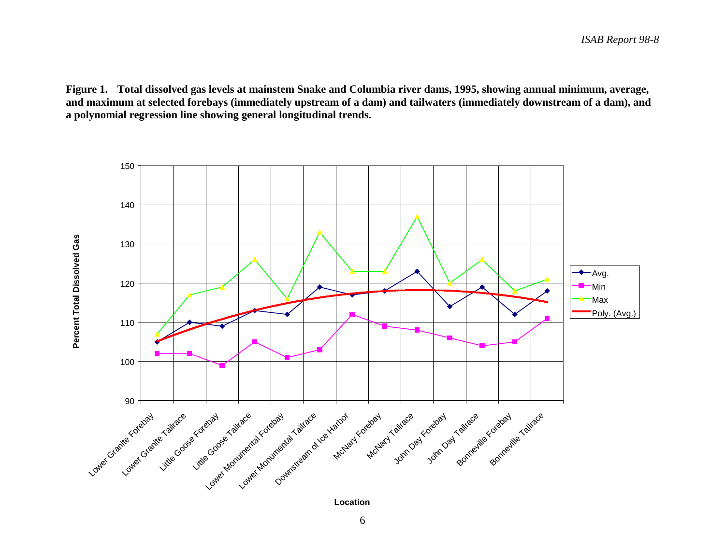**Figure 1. Total dissolved gas levels at mainstem Snake and Columbia river dams, 1995, showing annual minimum, average, and maximum at selected forebays (immediately upstream of a dam) and tailwaters (immediately downstream of a dam), and a polynomial regression line showing general longitudinal trends.**



**Location**

6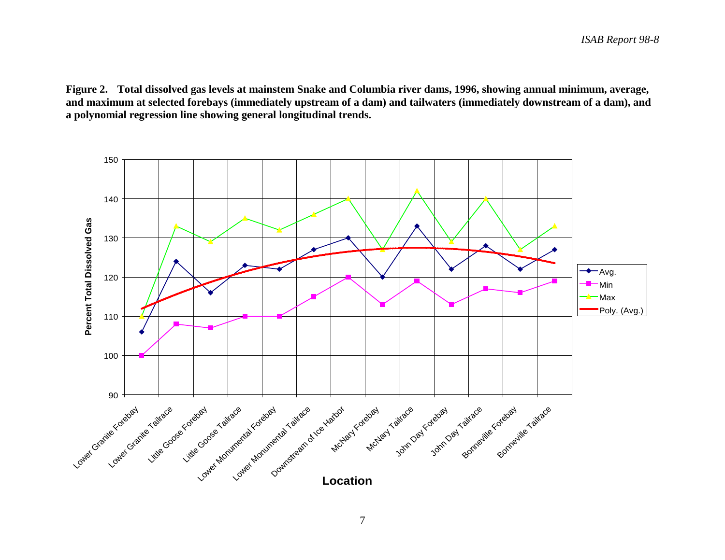**Figure 2. Total dissolved gas levels at mainstem Snake and Columbia river dams, 1996, showing annual minimum, average, and maximum at selected forebays (immediately upstream of a dam) and tailwaters (immediately downstream of a dam), and a polynomial regression line showing general longitudinal trends.**

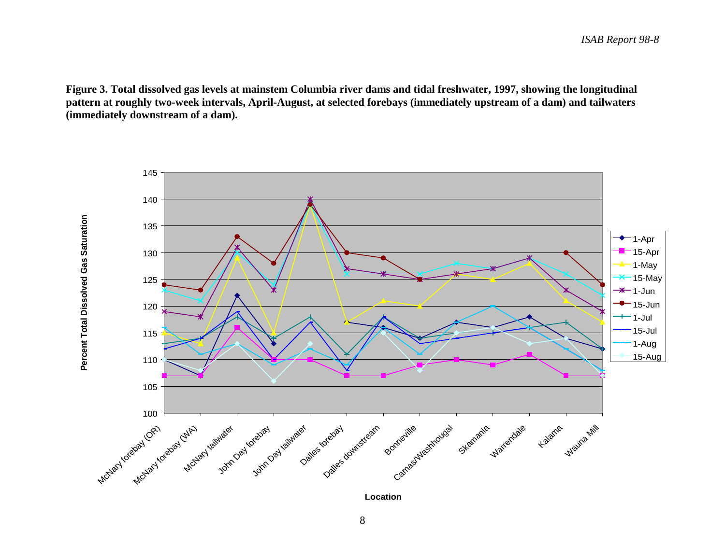**Figure 3. Total dissolved gas levels at mainstem Columbia river dams and tidal freshwater, 1997, showing the longitudinal pattern at roughly two-week intervals, April-August, at selected forebays (immediately upstream of a dam) and tailwaters (immediately downstream of a dam).**

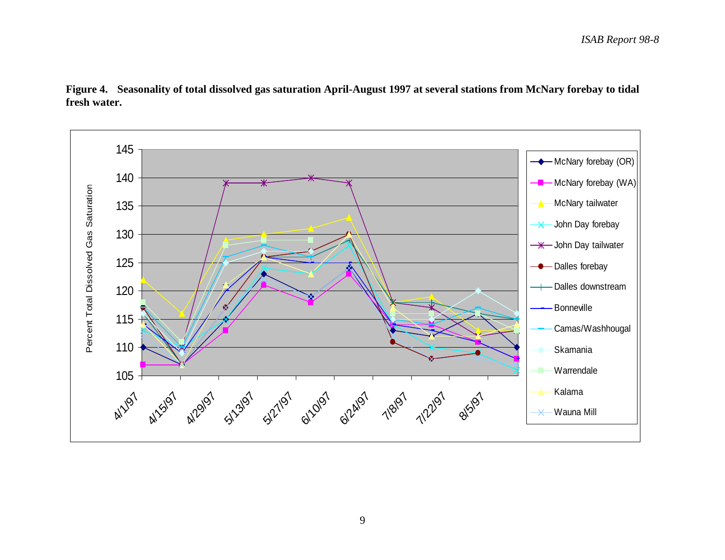

**Figure 4. Seasonality of total dissolved gas saturation April-August 1997 at several stations from McNary forebay to tidal fresh water.** 

9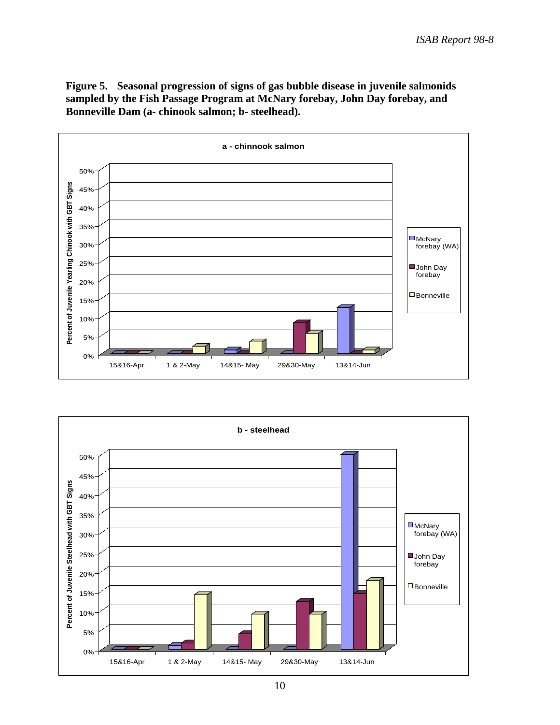**Figure 5. Seasonal progression of signs of gas bubble disease in juvenile salmonids sampled by the Fish Passage Program at McNary forebay, John Day forebay, and Bonneville Dam (a- chinook salmon; b- steelhead).**



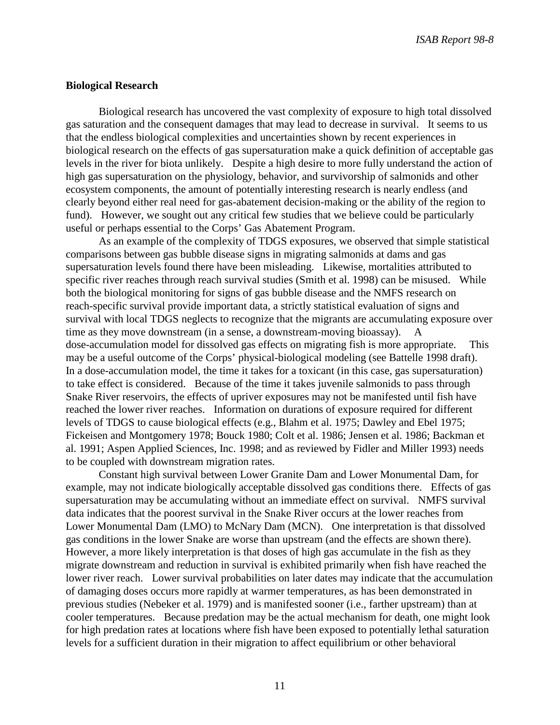#### **Biological Research**

Biological research has uncovered the vast complexity of exposure to high total dissolved gas saturation and the consequent damages that may lead to decrease in survival. It seems to us that the endless biological complexities and uncertainties shown by recent experiences in biological research on the effects of gas supersaturation make a quick definition of acceptable gas levels in the river for biota unlikely. Despite a high desire to more fully understand the action of high gas supersaturation on the physiology, behavior, and survivorship of salmonids and other ecosystem components, the amount of potentially interesting research is nearly endless (and clearly beyond either real need for gas-abatement decision-making or the ability of the region to fund). However, we sought out any critical few studies that we believe could be particularly useful or perhaps essential to the Corps' Gas Abatement Program.

As an example of the complexity of TDGS exposures, we observed that simple statistical comparisons between gas bubble disease signs in migrating salmonids at dams and gas supersaturation levels found there have been misleading. Likewise, mortalities attributed to specific river reaches through reach survival studies (Smith et al. 1998) can be misused. While both the biological monitoring for signs of gas bubble disease and the NMFS research on reach-specific survival provide important data, a strictly statistical evaluation of signs and survival with local TDGS neglects to recognize that the migrants are accumulating exposure over time as they move downstream (in a sense, a downstream-moving bioassay). dose-accumulation model for dissolved gas effects on migrating fish is more appropriate. This may be a useful outcome of the Corps' physical-biological modeling (see Battelle 1998 draft). In a dose-accumulation model, the time it takes for a toxicant (in this case, gas supersaturation) to take effect is considered. Because of the time it takes juvenile salmonids to pass through Snake River reservoirs, the effects of upriver exposures may not be manifested until fish have reached the lower river reaches. Information on durations of exposure required for different levels of TDGS to cause biological effects (e.g., Blahm et al. 1975; Dawley and Ebel 1975; Fickeisen and Montgomery 1978; Bouck 1980; Colt et al. 1986; Jensen et al. 1986; Backman et al. 1991; Aspen Applied Sciences, Inc. 1998; and as reviewed by Fidler and Miller 1993) needs to be coupled with downstream migration rates.

Constant high survival between Lower Granite Dam and Lower Monumental Dam, for example, may not indicate biologically acceptable dissolved gas conditions there. Effects of gas supersaturation may be accumulating without an immediate effect on survival. NMFS survival data indicates that the poorest survival in the Snake River occurs at the lower reaches from Lower Monumental Dam (LMO) to McNary Dam (MCN). One interpretation is that dissolved gas conditions in the lower Snake are worse than upstream (and the effects are shown there). However, a more likely interpretation is that doses of high gas accumulate in the fish as they migrate downstream and reduction in survival is exhibited primarily when fish have reached the lower river reach. Lower survival probabilities on later dates may indicate that the accumulation of damaging doses occurs more rapidly at warmer temperatures, as has been demonstrated in previous studies (Nebeker et al. 1979) and is manifested sooner (i.e., farther upstream) than at cooler temperatures. Because predation may be the actual mechanism for death, one might look for high predation rates at locations where fish have been exposed to potentially lethal saturation levels for a sufficient duration in their migration to affect equilibrium or other behavioral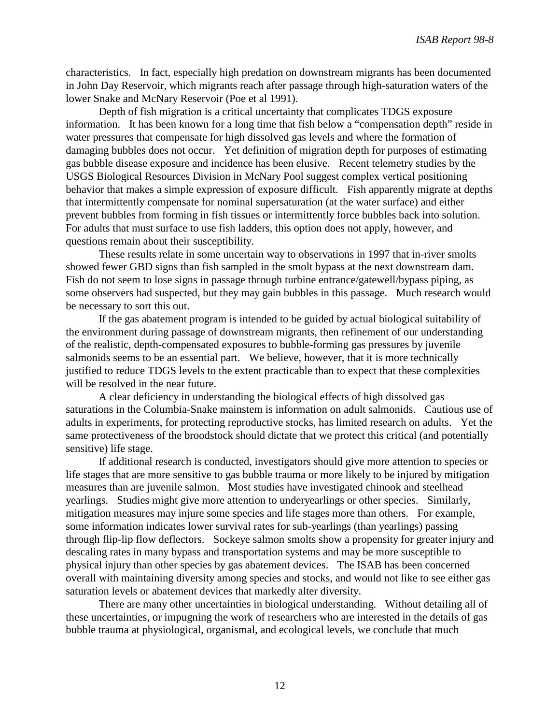characteristics. In fact, especially high predation on downstream migrants has been documented in John Day Reservoir, which migrants reach after passage through high-saturation waters of the lower Snake and McNary Reservoir (Poe et al 1991).

Depth of fish migration is a critical uncertainty that complicates TDGS exposure information. It has been known for a long time that fish below a "compensation depth" reside in water pressures that compensate for high dissolved gas levels and where the formation of damaging bubbles does not occur. Yet definition of migration depth for purposes of estimating gas bubble disease exposure and incidence has been elusive. Recent telemetry studies by the USGS Biological Resources Division in McNary Pool suggest complex vertical positioning behavior that makes a simple expression of exposure difficult. Fish apparently migrate at depths that intermittently compensate for nominal supersaturation (at the water surface) and either prevent bubbles from forming in fish tissues or intermittently force bubbles back into solution. For adults that must surface to use fish ladders, this option does not apply, however, and questions remain about their susceptibility.

These results relate in some uncertain way to observations in 1997 that in-river smolts showed fewer GBD signs than fish sampled in the smolt bypass at the next downstream dam. Fish do not seem to lose signs in passage through turbine entrance/gatewell/bypass piping, as some observers had suspected, but they may gain bubbles in this passage. Much research would be necessary to sort this out.

If the gas abatement program is intended to be guided by actual biological suitability of the environment during passage of downstream migrants, then refinement of our understanding of the realistic, depth-compensated exposures to bubble-forming gas pressures by juvenile salmonids seems to be an essential part. We believe, however, that it is more technically justified to reduce TDGS levels to the extent practicable than to expect that these complexities will be resolved in the near future.

A clear deficiency in understanding the biological effects of high dissolved gas saturations in the Columbia-Snake mainstem is information on adult salmonids. Cautious use of adults in experiments, for protecting reproductive stocks, has limited research on adults. Yet the same protectiveness of the broodstock should dictate that we protect this critical (and potentially sensitive) life stage.

If additional research is conducted, investigators should give more attention to species or life stages that are more sensitive to gas bubble trauma or more likely to be injured by mitigation measures than are juvenile salmon. Most studies have investigated chinook and steelhead yearlings. Studies might give more attention to underyearlings or other species. Similarly, mitigation measures may injure some species and life stages more than others. For example, some information indicates lower survival rates for sub-yearlings (than yearlings) passing through flip-lip flow deflectors. Sockeye salmon smolts show a propensity for greater injury and descaling rates in many bypass and transportation systems and may be more susceptible to physical injury than other species by gas abatement devices. The ISAB has been concerned overall with maintaining diversity among species and stocks, and would not like to see either gas saturation levels or abatement devices that markedly alter diversity.

There are many other uncertainties in biological understanding. Without detailing all of these uncertainties, or impugning the work of researchers who are interested in the details of gas bubble trauma at physiological, organismal, and ecological levels, we conclude that much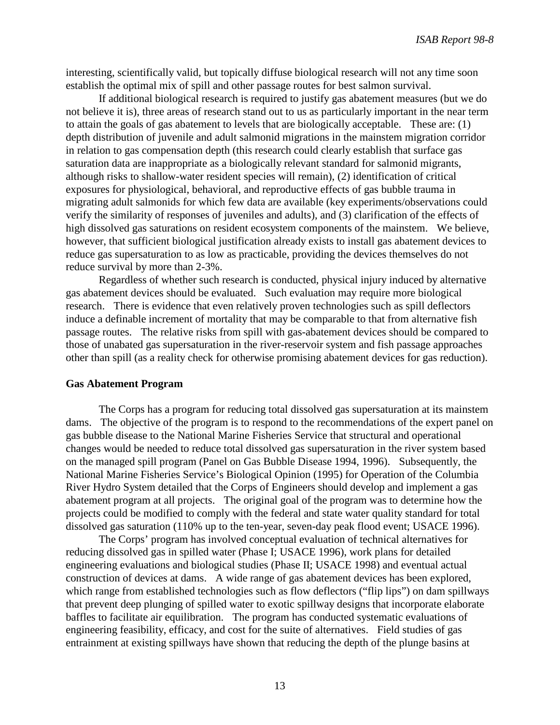interesting, scientifically valid, but topically diffuse biological research will not any time soon establish the optimal mix of spill and other passage routes for best salmon survival.

If additional biological research is required to justify gas abatement measures (but we do not believe it is), three areas of research stand out to us as particularly important in the near term to attain the goals of gas abatement to levels that are biologically acceptable. These are: (1) depth distribution of juvenile and adult salmonid migrations in the mainstem migration corridor in relation to gas compensation depth (this research could clearly establish that surface gas saturation data are inappropriate as a biologically relevant standard for salmonid migrants, although risks to shallow-water resident species will remain), (2) identification of critical exposures for physiological, behavioral, and reproductive effects of gas bubble trauma in migrating adult salmonids for which few data are available (key experiments/observations could verify the similarity of responses of juveniles and adults), and (3) clarification of the effects of high dissolved gas saturations on resident ecosystem components of the mainstem. We believe, however, that sufficient biological justification already exists to install gas abatement devices to reduce gas supersaturation to as low as practicable, providing the devices themselves do not reduce survival by more than 2-3%.

Regardless of whether such research is conducted, physical injury induced by alternative gas abatement devices should be evaluated. Such evaluation may require more biological research. There is evidence that even relatively proven technologies such as spill deflectors induce a definable increment of mortality that may be comparable to that from alternative fish passage routes. The relative risks from spill with gas-abatement devices should be compared to those of unabated gas supersaturation in the river-reservoir system and fish passage approaches other than spill (as a reality check for otherwise promising abatement devices for gas reduction).

#### **Gas Abatement Program**

The Corps has a program for reducing total dissolved gas supersaturation at its mainstem dams. The objective of the program is to respond to the recommendations of the expert panel on gas bubble disease to the National Marine Fisheries Service that structural and operational changes would be needed to reduce total dissolved gas supersaturation in the river system based on the managed spill program (Panel on Gas Bubble Disease 1994, 1996). Subsequently, the National Marine Fisheries Service's Biological Opinion (1995) for Operation of the Columbia River Hydro System detailed that the Corps of Engineers should develop and implement a gas abatement program at all projects. The original goal of the program was to determine how the projects could be modified to comply with the federal and state water quality standard for total dissolved gas saturation (110% up to the ten-year, seven-day peak flood event; USACE 1996).

The Corps' program has involved conceptual evaluation of technical alternatives for reducing dissolved gas in spilled water (Phase I; USACE 1996), work plans for detailed engineering evaluations and biological studies (Phase II; USACE 1998) and eventual actual construction of devices at dams. A wide range of gas abatement devices has been explored, which range from established technologies such as flow deflectors ("flip lips") on dam spillways that prevent deep plunging of spilled water to exotic spillway designs that incorporate elaborate baffles to facilitate air equilibration. The program has conducted systematic evaluations of engineering feasibility, efficacy, and cost for the suite of alternatives. Field studies of gas entrainment at existing spillways have shown that reducing the depth of the plunge basins at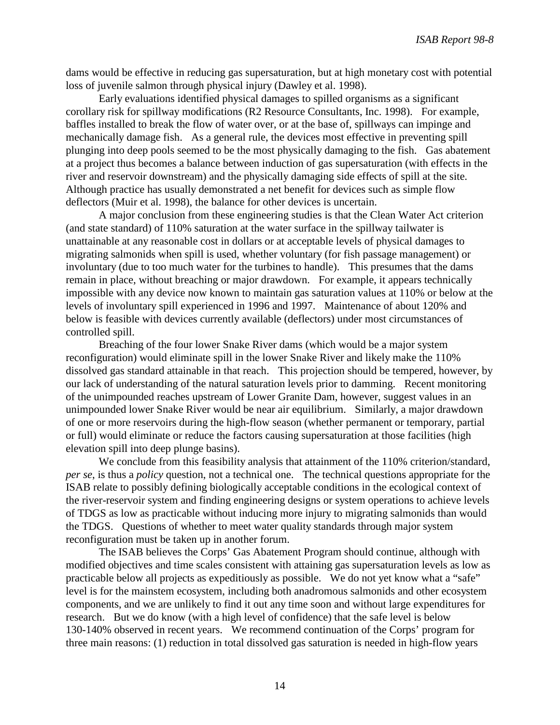dams would be effective in reducing gas supersaturation, but at high monetary cost with potential loss of juvenile salmon through physical injury (Dawley et al. 1998).

Early evaluations identified physical damages to spilled organisms as a significant corollary risk for spillway modifications (R2 Resource Consultants, Inc. 1998). For example, baffles installed to break the flow of water over, or at the base of, spillways can impinge and mechanically damage fish. As a general rule, the devices most effective in preventing spill plunging into deep pools seemed to be the most physically damaging to the fish. Gas abatement at a project thus becomes a balance between induction of gas supersaturation (with effects in the river and reservoir downstream) and the physically damaging side effects of spill at the site. Although practice has usually demonstrated a net benefit for devices such as simple flow deflectors (Muir et al. 1998), the balance for other devices is uncertain.

A major conclusion from these engineering studies is that the Clean Water Act criterion (and state standard) of 110% saturation at the water surface in the spillway tailwater is unattainable at any reasonable cost in dollars or at acceptable levels of physical damages to migrating salmonids when spill is used, whether voluntary (for fish passage management) or involuntary (due to too much water for the turbines to handle). This presumes that the dams remain in place, without breaching or major drawdown. For example, it appears technically impossible with any device now known to maintain gas saturation values at 110% or below at the levels of involuntary spill experienced in 1996 and 1997. Maintenance of about 120% and below is feasible with devices currently available (deflectors) under most circumstances of controlled spill.

Breaching of the four lower Snake River dams (which would be a major system reconfiguration) would eliminate spill in the lower Snake River and likely make the 110% dissolved gas standard attainable in that reach. This projection should be tempered, however, by our lack of understanding of the natural saturation levels prior to damming. Recent monitoring of the unimpounded reaches upstream of Lower Granite Dam, however, suggest values in an unimpounded lower Snake River would be near air equilibrium. Similarly, a major drawdown of one or more reservoirs during the high-flow season (whether permanent or temporary, partial or full) would eliminate or reduce the factors causing supersaturation at those facilities (high elevation spill into deep plunge basins).

We conclude from this feasibility analysis that attainment of the 110% criterion/standard, *per se*, is thus a *policy* question, not a technical one. The technical questions appropriate for the ISAB relate to possibly defining biologically acceptable conditions in the ecological context of the river-reservoir system and finding engineering designs or system operations to achieve levels of TDGS as low as practicable without inducing more injury to migrating salmonids than would the TDGS. Questions of whether to meet water quality standards through major system reconfiguration must be taken up in another forum.

The ISAB believes the Corps' Gas Abatement Program should continue, although with modified objectives and time scales consistent with attaining gas supersaturation levels as low as practicable below all projects as expeditiously as possible. We do not yet know what a "safe" level is for the mainstem ecosystem, including both anadromous salmonids and other ecosystem components, and we are unlikely to find it out any time soon and without large expenditures for research. But we do know (with a high level of confidence) that the safe level is below 130-140% observed in recent years. We recommend continuation of the Corps' program for three main reasons: (1) reduction in total dissolved gas saturation is needed in high-flow years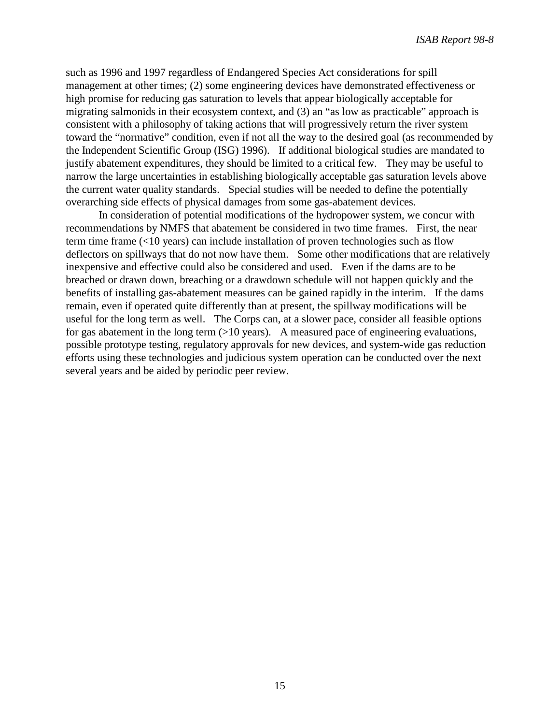such as 1996 and 1997 regardless of Endangered Species Act considerations for spill management at other times; (2) some engineering devices have demonstrated effectiveness or high promise for reducing gas saturation to levels that appear biologically acceptable for migrating salmonids in their ecosystem context, and (3) an "as low as practicable" approach is consistent with a philosophy of taking actions that will progressively return the river system toward the "normative" condition, even if not all the way to the desired goal (as recommended by the Independent Scientific Group (ISG) 1996). If additional biological studies are mandated to justify abatement expenditures, they should be limited to a critical few. They may be useful to narrow the large uncertainties in establishing biologically acceptable gas saturation levels above the current water quality standards. Special studies will be needed to define the potentially overarching side effects of physical damages from some gas-abatement devices.

In consideration of potential modifications of the hydropower system, we concur with recommendations by NMFS that abatement be considered in two time frames. First, the near term time frame (<10 years) can include installation of proven technologies such as flow deflectors on spillways that do not now have them. Some other modifications that are relatively inexpensive and effective could also be considered and used. Even if the dams are to be breached or drawn down, breaching or a drawdown schedule will not happen quickly and the benefits of installing gas-abatement measures can be gained rapidly in the interim. If the dams remain, even if operated quite differently than at present, the spillway modifications will be useful for the long term as well. The Corps can, at a slower pace, consider all feasible options for gas abatement in the long term  $(>10 \text{ years})$ . A measured pace of engineering evaluations, possible prototype testing, regulatory approvals for new devices, and system-wide gas reduction efforts using these technologies and judicious system operation can be conducted over the next several years and be aided by periodic peer review.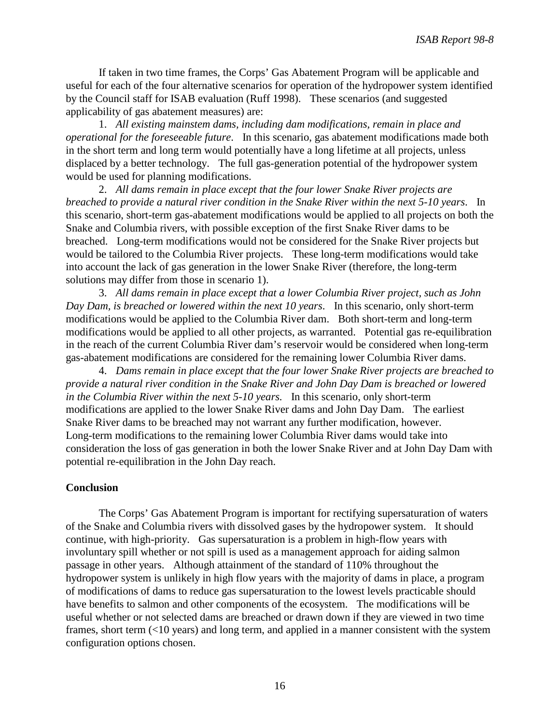If taken in two time frames, the Corps' Gas Abatement Program will be applicable and useful for each of the four alternative scenarios for operation of the hydropower system identified by the Council staff for ISAB evaluation (Ruff 1998). These scenarios (and suggested applicability of gas abatement measures) are:

1. *All existing mainstem dams, including dam modifications, remain in place and operational for the foreseeable future*. In this scenario, gas abatement modifications made both in the short term and long term would potentially have a long lifetime at all projects, unless displaced by a better technology. The full gas-generation potential of the hydropower system would be used for planning modifications.

2. *All dams remain in place except that the four lower Snake River projects are breached to provide a natural river condition in the Snake River within the next 5-10 years*. In this scenario, short-term gas-abatement modifications would be applied to all projects on both the Snake and Columbia rivers, with possible exception of the first Snake River dams to be breached. Long-term modifications would not be considered for the Snake River projects but would be tailored to the Columbia River projects. These long-term modifications would take into account the lack of gas generation in the lower Snake River (therefore, the long-term solutions may differ from those in scenario 1).

3. *All dams remain in place except that a lower Columbia River project, such as John Day Dam, is breached or lowered within the next 10 years*. In this scenario, only short-term modifications would be applied to the Columbia River dam. Both short-term and long-term modifications would be applied to all other projects, as warranted. Potential gas re-equilibration in the reach of the current Columbia River dam's reservoir would be considered when long-term gas-abatement modifications are considered for the remaining lower Columbia River dams.

4. *Dams remain in place except that the four lower Snake River projects are breached to provide a natural river condition in the Snake River and John Day Dam is breached or lowered in the Columbia River within the next 5-10 years.* In this scenario, only short-term modifications are applied to the lower Snake River dams and John Day Dam. The earliest Snake River dams to be breached may not warrant any further modification, however. Long-term modifications to the remaining lower Columbia River dams would take into consideration the loss of gas generation in both the lower Snake River and at John Day Dam with potential re-equilibration in the John Day reach.

### **Conclusion**

The Corps' Gas Abatement Program is important for rectifying supersaturation of waters of the Snake and Columbia rivers with dissolved gases by the hydropower system. It should continue, with high-priority. Gas supersaturation is a problem in high-flow years with involuntary spill whether or not spill is used as a management approach for aiding salmon passage in other years. Although attainment of the standard of 110% throughout the hydropower system is unlikely in high flow years with the majority of dams in place, a program of modifications of dams to reduce gas supersaturation to the lowest levels practicable should have benefits to salmon and other components of the ecosystem. The modifications will be useful whether or not selected dams are breached or drawn down if they are viewed in two time frames, short term (<10 years) and long term, and applied in a manner consistent with the system configuration options chosen.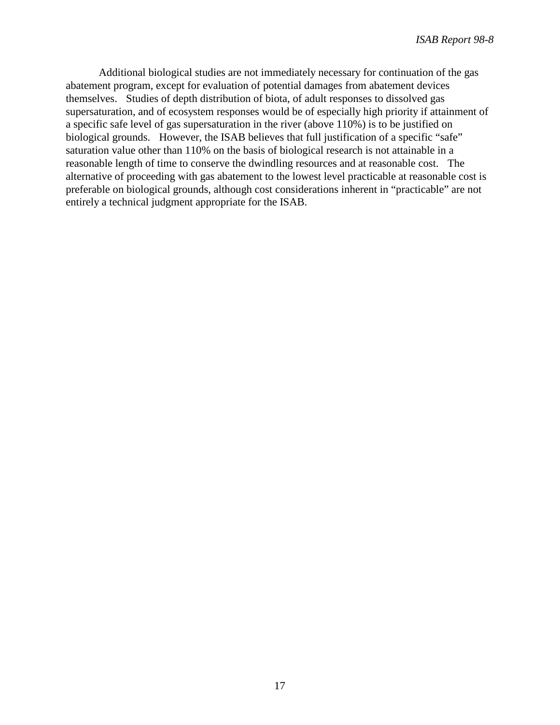Additional biological studies are not immediately necessary for continuation of the gas abatement program, except for evaluation of potential damages from abatement devices themselves. Studies of depth distribution of biota, of adult responses to dissolved gas supersaturation, and of ecosystem responses would be of especially high priority if attainment of a specific safe level of gas supersaturation in the river (above 110%) is to be justified on biological grounds. However, the ISAB believes that full justification of a specific "safe" saturation value other than 110% on the basis of biological research is not attainable in a reasonable length of time to conserve the dwindling resources and at reasonable cost. The alternative of proceeding with gas abatement to the lowest level practicable at reasonable cost is preferable on biological grounds, although cost considerations inherent in "practicable" are not entirely a technical judgment appropriate for the ISAB.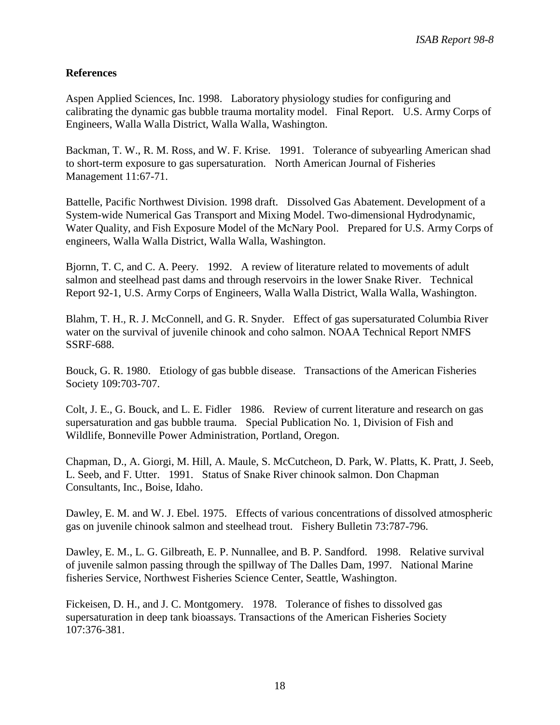## **References**

Aspen Applied Sciences, Inc. 1998. Laboratory physiology studies for configuring and calibrating the dynamic gas bubble trauma mortality model. Final Report. U.S. Army Corps of Engineers, Walla Walla District, Walla Walla, Washington.

Backman, T. W., R. M. Ross, and W. F. Krise. 1991. Tolerance of subyearling American shad to short-term exposure to gas supersaturation. North American Journal of Fisheries Management 11:67-71.

Battelle, Pacific Northwest Division. 1998 draft. Dissolved Gas Abatement. Development of a System-wide Numerical Gas Transport and Mixing Model. Two-dimensional Hydrodynamic, Water Quality, and Fish Exposure Model of the McNary Pool. Prepared for U.S. Army Corps of engineers, Walla Walla District, Walla Walla, Washington.

Bjornn, T. C, and C. A. Peery. 1992. A review of literature related to movements of adult salmon and steelhead past dams and through reservoirs in the lower Snake River. Technical Report 92-1, U.S. Army Corps of Engineers, Walla Walla District, Walla Walla, Washington.

Blahm, T. H., R. J. McConnell, and G. R. Snyder. Effect of gas supersaturated Columbia River water on the survival of juvenile chinook and coho salmon. NOAA Technical Report NMFS SSRF-688.

Bouck, G. R. 1980. Etiology of gas bubble disease. Transactions of the American Fisheries Society 109:703-707.

Colt, J. E., G. Bouck, and L. E. Fidler 1986. Review of current literature and research on gas supersaturation and gas bubble trauma. Special Publication No. 1, Division of Fish and Wildlife, Bonneville Power Administration, Portland, Oregon.

Chapman, D., A. Giorgi, M. Hill, A. Maule, S. McCutcheon, D. Park, W. Platts, K. Pratt, J. Seeb, L. Seeb, and F. Utter. 1991. Status of Snake River chinook salmon. Don Chapman Consultants, Inc., Boise, Idaho.

Dawley, E. M. and W. J. Ebel. 1975. Effects of various concentrations of dissolved atmospheric gas on juvenile chinook salmon and steelhead trout. Fishery Bulletin 73:787-796.

Dawley, E. M., L. G. Gilbreath, E. P. Nunnallee, and B. P. Sandford. 1998. Relative survival of juvenile salmon passing through the spillway of The Dalles Dam, 1997. National Marine fisheries Service, Northwest Fisheries Science Center, Seattle, Washington.

Fickeisen, D. H., and J. C. Montgomery. 1978. Tolerance of fishes to dissolved gas supersaturation in deep tank bioassays. Transactions of the American Fisheries Society 107:376-381.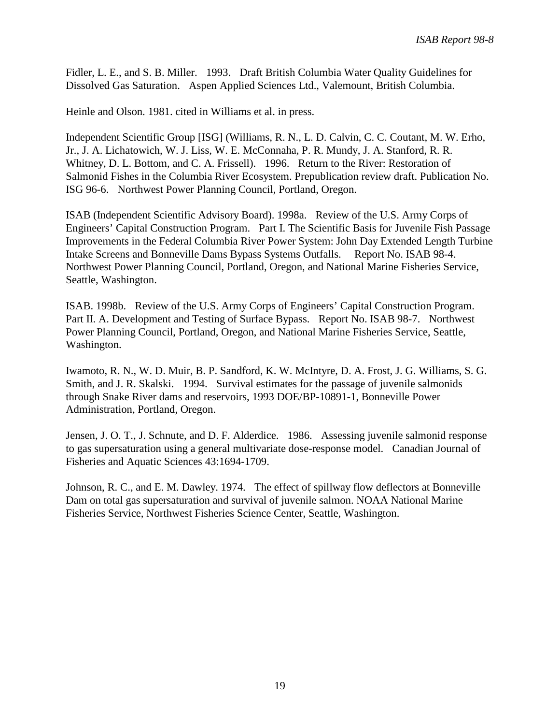Fidler, L. E., and S. B. Miller. 1993. Draft British Columbia Water Quality Guidelines for Dissolved Gas Saturation. Aspen Applied Sciences Ltd., Valemount, British Columbia.

Heinle and Olson. 1981. cited in Williams et al. in press.

Independent Scientific Group [ISG] (Williams, R. N., L. D. Calvin, C. C. Coutant, M. W. Erho, Jr., J. A. Lichatowich, W. J. Liss, W. E. McConnaha, P. R. Mundy, J. A. Stanford, R. R. Whitney, D. L. Bottom, and C. A. Frissell). 1996. Return to the River: Restoration of Salmonid Fishes in the Columbia River Ecosystem. Prepublication review draft. Publication No. ISG 96-6. Northwest Power Planning Council, Portland, Oregon.

ISAB (Independent Scientific Advisory Board). 1998a. Review of the U.S. Army Corps of Engineers' Capital Construction Program. Part I. The Scientific Basis for Juvenile Fish Passage Improvements in the Federal Columbia River Power System: John Day Extended Length Turbine Intake Screens and Bonneville Dams Bypass Systems Outfalls. Report No. ISAB 98-4. Northwest Power Planning Council, Portland, Oregon, and National Marine Fisheries Service, Seattle, Washington.

ISAB. 1998b. Review of the U.S. Army Corps of Engineers' Capital Construction Program. Part II. A. Development and Testing of Surface Bypass. Report No. ISAB 98-7. Northwest Power Planning Council, Portland, Oregon, and National Marine Fisheries Service, Seattle, Washington.

Iwamoto, R. N., W. D. Muir, B. P. Sandford, K. W. McIntyre, D. A. Frost, J. G. Williams, S. G. Smith, and J. R. Skalski. 1994. Survival estimates for the passage of juvenile salmonids through Snake River dams and reservoirs, 1993 DOE/BP-10891-1, Bonneville Power Administration, Portland, Oregon.

Jensen, J. O. T., J. Schnute, and D. F. Alderdice. 1986. Assessing juvenile salmonid response to gas supersaturation using a general multivariate dose-response model. Canadian Journal of Fisheries and Aquatic Sciences 43:1694-1709.

Johnson, R. C., and E. M. Dawley. 1974. The effect of spillway flow deflectors at Bonneville Dam on total gas supersaturation and survival of juvenile salmon. NOAA National Marine Fisheries Service, Northwest Fisheries Science Center, Seattle, Washington.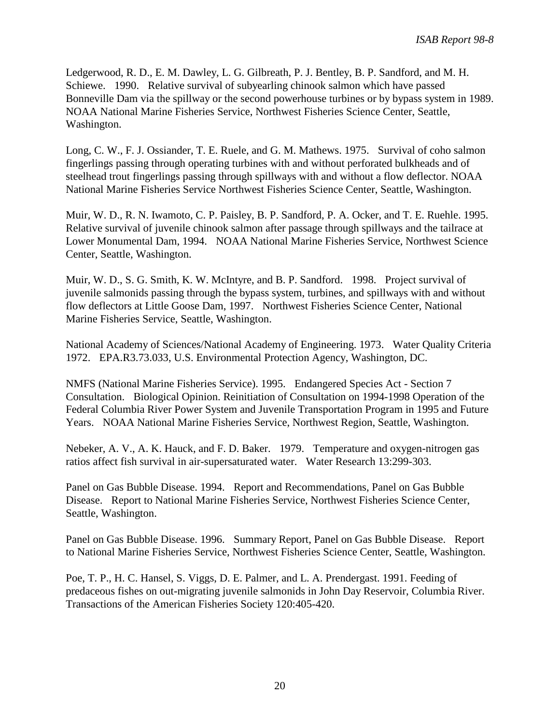Ledgerwood, R. D., E. M. Dawley, L. G. Gilbreath, P. J. Bentley, B. P. Sandford, and M. H. Schiewe. 1990. Relative survival of subyearling chinook salmon which have passed Bonneville Dam via the spillway or the second powerhouse turbines or by bypass system in 1989. NOAA National Marine Fisheries Service, Northwest Fisheries Science Center, Seattle, Washington.

Long, C. W., F. J. Ossiander, T. E. Ruele, and G. M. Mathews. 1975. Survival of coho salmon fingerlings passing through operating turbines with and without perforated bulkheads and of steelhead trout fingerlings passing through spillways with and without a flow deflector. NOAA National Marine Fisheries Service Northwest Fisheries Science Center, Seattle, Washington.

Muir, W. D., R. N. Iwamoto, C. P. Paisley, B. P. Sandford, P. A. Ocker, and T. E. Ruehle. 1995. Relative survival of juvenile chinook salmon after passage through spillways and the tailrace at Lower Monumental Dam, 1994. NOAA National Marine Fisheries Service, Northwest Science Center, Seattle, Washington.

Muir, W. D., S. G. Smith, K. W. McIntyre, and B. P. Sandford. 1998. Project survival of juvenile salmonids passing through the bypass system, turbines, and spillways with and without flow deflectors at Little Goose Dam, 1997. Northwest Fisheries Science Center, National Marine Fisheries Service, Seattle, Washington.

National Academy of Sciences/National Academy of Engineering. 1973. Water Quality Criteria 1972. EPA.R3.73.033, U.S. Environmental Protection Agency, Washington, DC.

NMFS (National Marine Fisheries Service). 1995. Endangered Species Act - Section 7 Consultation. Biological Opinion. Reinitiation of Consultation on 1994-1998 Operation of the Federal Columbia River Power System and Juvenile Transportation Program in 1995 and Future Years. NOAA National Marine Fisheries Service, Northwest Region, Seattle, Washington.

Nebeker, A. V., A. K. Hauck, and F. D. Baker. 1979. Temperature and oxygen-nitrogen gas ratios affect fish survival in air-supersaturated water. Water Research 13:299-303.

Panel on Gas Bubble Disease. 1994. Report and Recommendations, Panel on Gas Bubble Disease. Report to National Marine Fisheries Service, Northwest Fisheries Science Center, Seattle, Washington.

Panel on Gas Bubble Disease. 1996. Summary Report, Panel on Gas Bubble Disease. Report to National Marine Fisheries Service, Northwest Fisheries Science Center, Seattle, Washington.

Poe, T. P., H. C. Hansel, S. Viggs, D. E. Palmer, and L. A. Prendergast. 1991. Feeding of predaceous fishes on out-migrating juvenile salmonids in John Day Reservoir, Columbia River. Transactions of the American Fisheries Society 120:405-420.